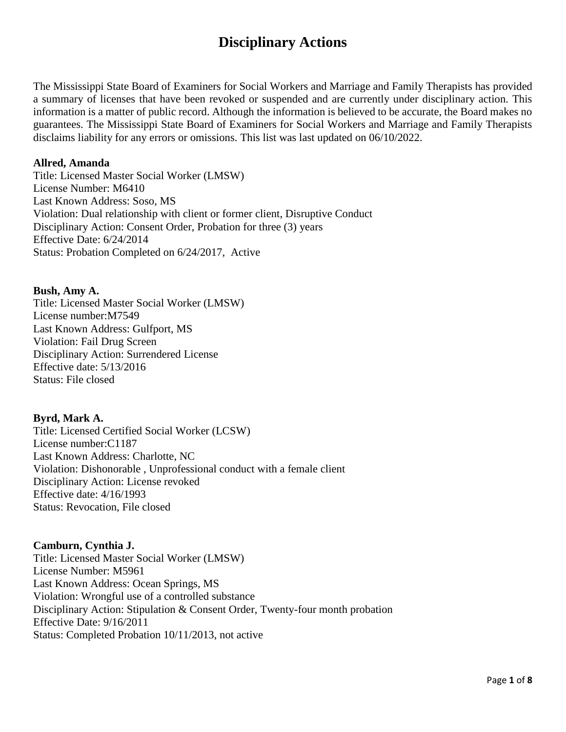# **Disciplinary Actions**

The Mississippi State Board of Examiners for Social Workers and Marriage and Family Therapists has provided a summary of licenses that have been revoked or suspended and are currently under disciplinary action. This information is a matter of public record. Although the information is believed to be accurate, the Board makes no guarantees. The Mississippi State Board of Examiners for Social Workers and Marriage and Family Therapists disclaims liability for any errors or omissions. This list was last updated on 06/10/2022.

## **Allred, Amanda**

Title: Licensed Master Social Worker (LMSW) License Number: M6410 Last Known Address: Soso, MS Violation: Dual relationship with client or former client, Disruptive Conduct Disciplinary Action: Consent Order, Probation for three (3) years Effective Date: 6/24/2014 Status: Probation Completed on 6/24/2017, Active

## **Bush, Amy A.**

Title: Licensed Master Social Worker (LMSW) License number:M7549 Last Known Address: Gulfport, MS Violation: Fail Drug Screen Disciplinary Action: Surrendered License Effective date: 5/13/2016 Status: File closed

## **Byrd, Mark A.**

Title: Licensed Certified Social Worker (LCSW) License number:C1187 Last Known Address: Charlotte, NC Violation: Dishonorable , Unprofessional conduct with a female client Disciplinary Action: License revoked Effective date: 4/16/1993 Status: Revocation, File closed

## **Camburn, Cynthia J.**

Title: Licensed Master Social Worker (LMSW) License Number: M5961 Last Known Address: Ocean Springs, MS Violation: Wrongful use of a controlled substance Disciplinary Action: Stipulation & Consent Order, Twenty-four month probation Effective Date: 9/16/2011 Status: Completed Probation 10/11/2013, not active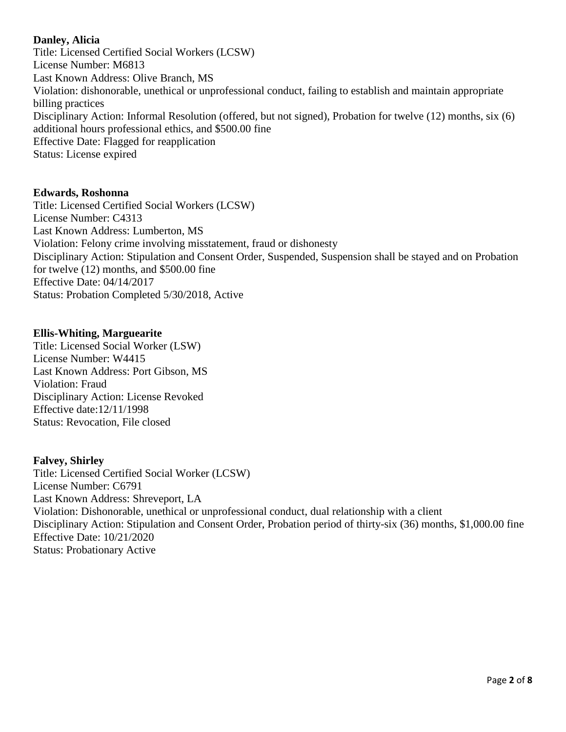# **Danley, Alicia**

Title: Licensed Certified Social Workers (LCSW) License Number: M6813 Last Known Address: Olive Branch, MS Violation: dishonorable, unethical or unprofessional conduct, failing to establish and maintain appropriate billing practices Disciplinary Action: Informal Resolution (offered, but not signed), Probation for twelve (12) months, six (6) additional hours professional ethics, and \$500.00 fine Effective Date: Flagged for reapplication Status: License expired

## **Edwards, Roshonna**

Title: Licensed Certified Social Workers (LCSW) License Number: C4313 Last Known Address: Lumberton, MS Violation: Felony crime involving misstatement, fraud or dishonesty Disciplinary Action: Stipulation and Consent Order, Suspended, Suspension shall be stayed and on Probation for twelve (12) months, and \$500.00 fine Effective Date: 04/14/2017 Status: Probation Completed 5/30/2018, Active

## **Ellis-Whiting, Marguearite**

Title: Licensed Social Worker (LSW) License Number: W4415 Last Known Address: Port Gibson, MS Violation: Fraud Disciplinary Action: License Revoked Effective date:12/11/1998 Status: Revocation, File closed

## **Falvey, Shirley**

Title: Licensed Certified Social Worker (LCSW) License Number: C6791 Last Known Address: Shreveport, LA Violation: Dishonorable, unethical or unprofessional conduct, dual relationship with a client Disciplinary Action: Stipulation and Consent Order, Probation period of thirty-six (36) months, \$1,000.00 fine Effective Date: 10/21/2020 Status: Probationary Active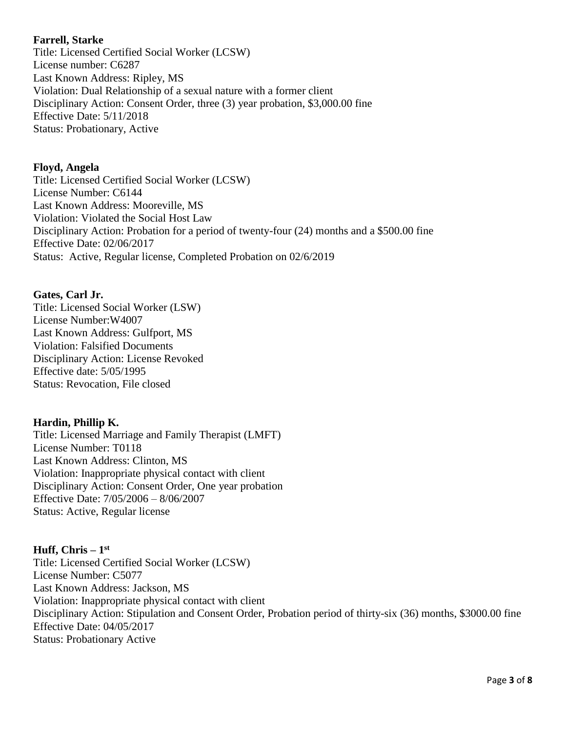# **Farrell, Starke**

Title: Licensed Certified Social Worker (LCSW) License number: C6287 Last Known Address: Ripley, MS Violation: Dual Relationship of a sexual nature with a former client Disciplinary Action: Consent Order, three (3) year probation, \$3,000.00 fine Effective Date: 5/11/2018 Status: Probationary, Active

## **Floyd, Angela**

Title: Licensed Certified Social Worker (LCSW) License Number: C6144 Last Known Address: Mooreville, MS Violation: Violated the Social Host Law Disciplinary Action: Probation for a period of twenty-four (24) months and a \$500.00 fine Effective Date: 02/06/2017 Status: Active, Regular license, Completed Probation on 02/6/2019

## **Gates, Carl Jr.**

Title: Licensed Social Worker (LSW) License Number:W4007 Last Known Address: Gulfport, MS Violation: Falsified Documents Disciplinary Action: License Revoked Effective date: 5/05/1995 Status: Revocation, File closed

# **Hardin, Phillip K.**

Title: Licensed Marriage and Family Therapist (LMFT) License Number: T0118 Last Known Address: Clinton, MS Violation: Inappropriate physical contact with client Disciplinary Action: Consent Order, One year probation Effective Date: 7/05/2006 – 8/06/2007 Status: Active, Regular license

# **Huff, Chris – 1 st**

Title: Licensed Certified Social Worker (LCSW) License Number: C5077 Last Known Address: Jackson, MS Violation: Inappropriate physical contact with client Disciplinary Action: Stipulation and Consent Order, Probation period of thirty-six (36) months, \$3000.00 fine Effective Date: 04/05/2017 Status: Probationary Active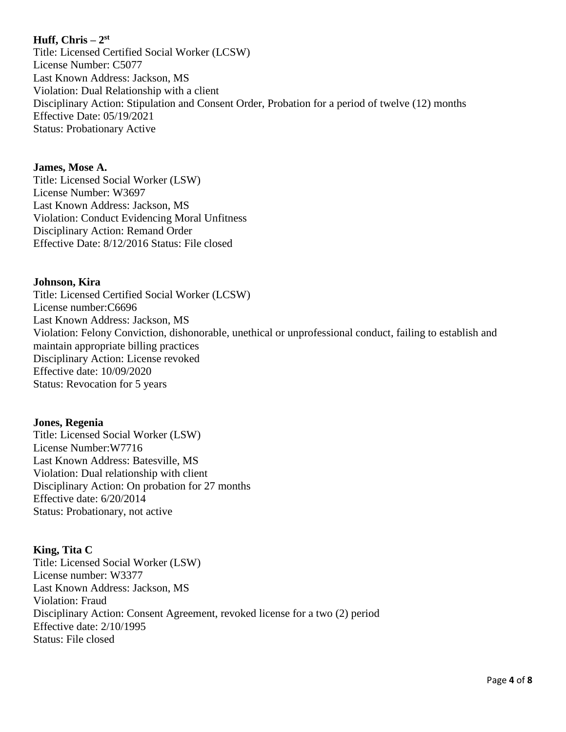## **Huff, Chris – 2 st**

Title: Licensed Certified Social Worker (LCSW) License Number: C5077 Last Known Address: Jackson, MS Violation: Dual Relationship with a client Disciplinary Action: Stipulation and Consent Order, Probation for a period of twelve (12) months Effective Date: 05/19/2021 Status: Probationary Active

#### **James, Mose A.**

Title: Licensed Social Worker (LSW) License Number: W3697 Last Known Address: Jackson, MS Violation: Conduct Evidencing Moral Unfitness Disciplinary Action: Remand Order Effective Date: 8/12/2016 Status: File closed

#### **Johnson, Kira**

Title: Licensed Certified Social Worker (LCSW) License number:C6696 Last Known Address: Jackson, MS Violation: Felony Conviction, dishonorable, unethical or unprofessional conduct, failing to establish and maintain appropriate billing practices Disciplinary Action: License revoked Effective date: 10/09/2020 Status: Revocation for 5 years

#### **Jones, Regenia**

Title: Licensed Social Worker (LSW) License Number:W7716 Last Known Address: Batesville, MS Violation: Dual relationship with client Disciplinary Action: On probation for 27 months Effective date: 6/20/2014 Status: Probationary, not active

## **King, Tita C**

Title: Licensed Social Worker (LSW) License number: W3377 Last Known Address: Jackson, MS Violation: Fraud Disciplinary Action: Consent Agreement, revoked license for a two (2) period Effective date: 2/10/1995 Status: File closed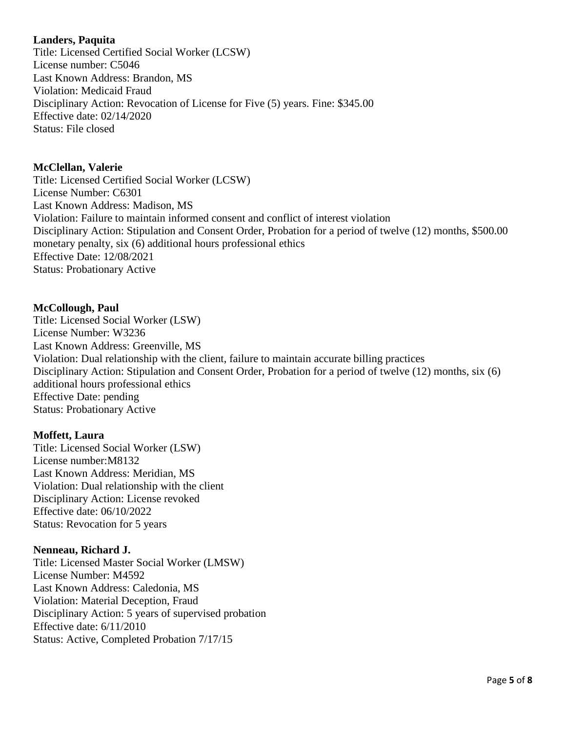## **Landers, Paquita**

Title: Licensed Certified Social Worker (LCSW) License number: C5046 Last Known Address: Brandon, MS Violation: Medicaid Fraud Disciplinary Action: Revocation of License for Five (5) years. Fine: \$345.00 Effective date: 02/14/2020 Status: File closed

## **McClellan, Valerie**

Title: Licensed Certified Social Worker (LCSW) License Number: C6301 Last Known Address: Madison, MS Violation: Failure to maintain informed consent and conflict of interest violation Disciplinary Action: Stipulation and Consent Order, Probation for a period of twelve (12) months, \$500.00 monetary penalty, six (6) additional hours professional ethics Effective Date: 12/08/2021 Status: Probationary Active

## **McCollough, Paul**

Title: Licensed Social Worker (LSW) License Number: W3236 Last Known Address: Greenville, MS Violation: Dual relationship with the client, failure to maintain accurate billing practices Disciplinary Action: Stipulation and Consent Order, Probation for a period of twelve (12) months, six (6) additional hours professional ethics Effective Date: pending Status: Probationary Active

## **Moffett, Laura**

Title: Licensed Social Worker (LSW) License number:M8132 Last Known Address: Meridian, MS Violation: Dual relationship with the client Disciplinary Action: License revoked Effective date: 06/10/2022 Status: Revocation for 5 years

## **Nenneau, Richard J.**

Title: Licensed Master Social Worker (LMSW) License Number: M4592 Last Known Address: Caledonia, MS Violation: Material Deception, Fraud Disciplinary Action: 5 years of supervised probation Effective date: 6/11/2010 Status: Active, Completed Probation 7/17/15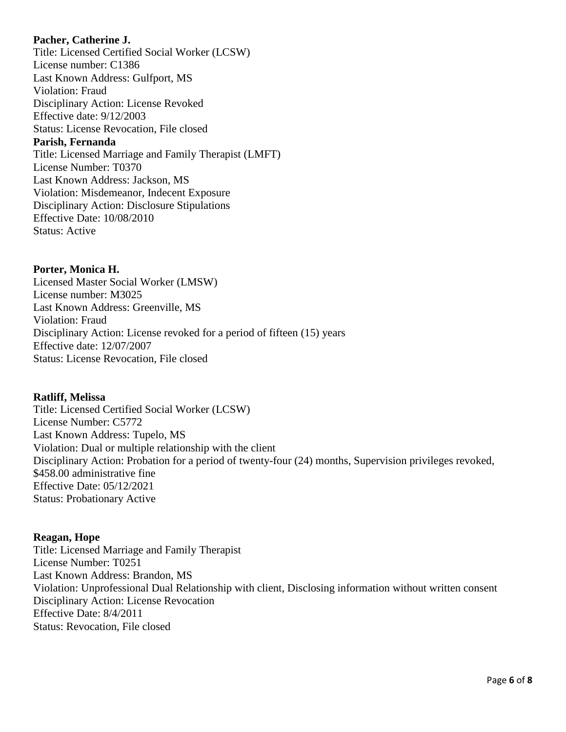## **Pacher, Catherine J.**

Title: Licensed Certified Social Worker (LCSW) License number: C1386 Last Known Address: Gulfport, MS Violation: Fraud Disciplinary Action: License Revoked Effective date: 9/12/2003 Status: License Revocation, File closed **Parish, Fernanda** Title: Licensed Marriage and Family Therapist (LMFT) License Number: T0370 Last Known Address: Jackson, MS Violation: Misdemeanor, Indecent Exposure Disciplinary Action: Disclosure Stipulations Effective Date: 10/08/2010 Status: Active

**Porter, Monica H.** Licensed Master Social Worker (LMSW) License number: M3025 Last Known Address: Greenville, MS Violation: Fraud Disciplinary Action: License revoked for a period of fifteen (15) years Effective date: 12/07/2007 Status: License Revocation, File closed

## **Ratliff, Melissa**

Title: Licensed Certified Social Worker (LCSW) License Number: C5772 Last Known Address: Tupelo, MS Violation: Dual or multiple relationship with the client Disciplinary Action: Probation for a period of twenty-four (24) months, Supervision privileges revoked, \$458.00 administrative fine Effective Date: 05/12/2021 Status: Probationary Active

## **Reagan, Hope**

Title: Licensed Marriage and Family Therapist License Number: T0251 Last Known Address: Brandon, MS Violation: Unprofessional Dual Relationship with client, Disclosing information without written consent Disciplinary Action: License Revocation Effective Date: 8/4/2011 Status: Revocation, File closed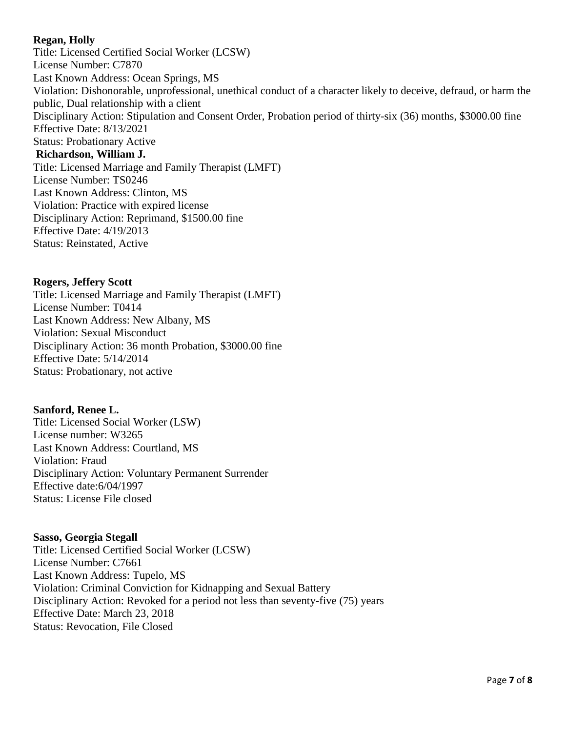## **Regan, Holly**

Title: Licensed Certified Social Worker (LCSW) License Number: C7870 Last Known Address: Ocean Springs, MS Violation: Dishonorable, unprofessional, unethical conduct of a character likely to deceive, defraud, or harm the public, Dual relationship with a client Disciplinary Action: Stipulation and Consent Order, Probation period of thirty-six (36) months, \$3000.00 fine Effective Date: 8/13/2021 Status: Probationary Active **Richardson, William J.** Title: Licensed Marriage and Family Therapist (LMFT) License Number: TS0246 Last Known Address: Clinton, MS Violation: Practice with expired license Disciplinary Action: Reprimand, \$1500.00 fine Effective Date: 4/19/2013 Status: Reinstated, Active

## **Rogers, Jeffery Scott**

Title: Licensed Marriage and Family Therapist (LMFT) License Number: T0414 Last Known Address: New Albany, MS Violation: Sexual Misconduct Disciplinary Action: 36 month Probation, \$3000.00 fine Effective Date: 5/14/2014 Status: Probationary, not active

## **Sanford, Renee L.**

Title: Licensed Social Worker (LSW) License number: W3265 Last Known Address: Courtland, MS Violation: Fraud Disciplinary Action: Voluntary Permanent Surrender Effective date:6/04/1997 Status: License File closed

## **Sasso, Georgia Stegall**

Title: Licensed Certified Social Worker (LCSW) License Number: C7661 Last Known Address: Tupelo, MS Violation: Criminal Conviction for Kidnapping and Sexual Battery Disciplinary Action: Revoked for a period not less than seventy-five (75) years Effective Date: March 23, 2018 Status: Revocation, File Closed